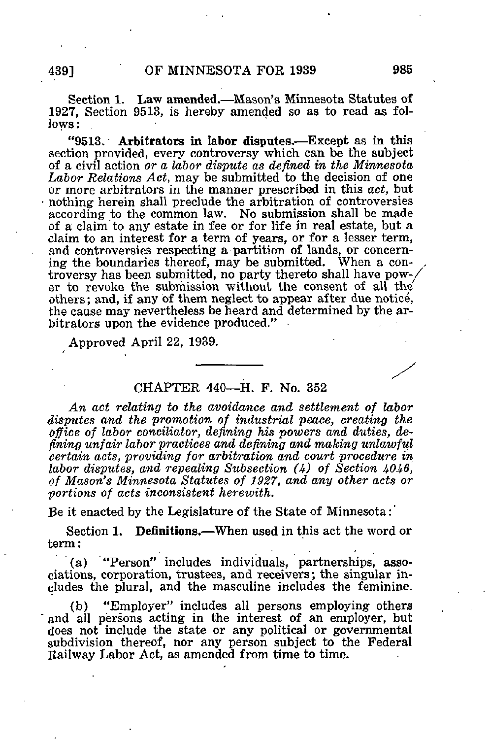Section 1. Law amended.—Mason's Minnesota Statutes of 1927, Section 9513, is hereby amended so as to read as follows ;

"9513. Arbitrators in labor disputes.—Except aa in this section provided, every controversy which can be the subject of a civil action or a labor dispute as defined in the Minnesota Labor Relations Act, may be submitted to the decision of one or more arbitrators in the manner prescribed in this act, but nothing herein shall preclude the arbitration of controversies according to the common law. No submission shall be made of a claim to any estate in fee or for life in real estate, but a claim to an interest for a term of years, or for a lesser term, and controversies respecting a partition of lands, or concerning the boundaries thereof, may be submitted. When a controversy has been submitted, no party thereto shall have pow-/ er to revoke the submission without the consent of all the others; and, if any of them neglect to appear after due notice, the cause may nevertheless be heard and determined by the arbitrators upon the evidence produced."

Approved April 22, 1939.

## CHAPTER 440—H. F. No. 352

An act relating to the avoidance and settlement of labor disputes and the promotion of industrial peace, creating the office of labor conciliator, defining his powers and duties, defining unfair labor^ practices and defining and making unlawful certain acts, providing for arbitration and court procedure in labor disputes, and repealing Subsection  $(4)$  of Section 4046, of Mason's Minnesota Statutes of 1927, and any other acts or portions of acts inconsistent herewith.

Be it enacted by the Legislature of the State of Minnesota:'

Section 1. Definitions.—When used in this act the word or term:

(a) '"Person" includes individuals, partnerships, associations, corporation, trustees, and receivers; the singular includes the plural, and the masculine includes the feminine.

(b) "Employer" includes all persons employing others and all persons acting in the interest of an employer, but does not include the state or any political or governmental subdivision thereof, nor any person subject to the Federal Railway Labor Act, as amended from time to time.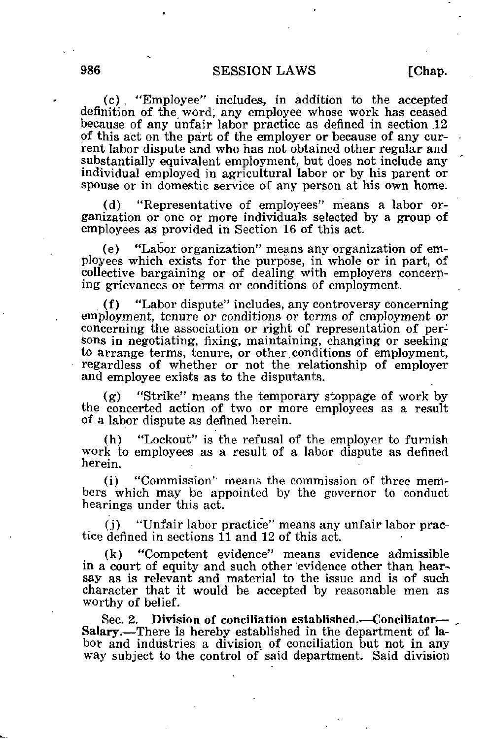(c) , "Kmployee" includes, in addition to the accepted definition of the word, any employee whose work has ceased because of any unfair labor practice as defined in section 12 of this act on the part of the employer or because of any current labor dispute and who has not obtained other regular and substantially equivalent employment, but does not include any individual employed in agricultural labor or by his parent or spouse or in domestic service of any person at his own home.

(d) "Representative of employees" means a labor organization or. one or more individuals selected by a group of employees as provided in Section 16 of this act.

(e) "Labor organization" means any organization of employees which exists for the purpose, in whole or in part, of collective bargaining or of dealing with employers concerning grievances or terms or conditions of employment.

(f) "Labor dispute" includes, any controversy concerning employment, tenure or conditions or terms of employment or concerning the association or right of representation of persons in negotiating, fixing, maintaining, changing or seeking to arrange terms, tenure, or other conditions of employment, regardless of whether or not the relationship of employer and employee exists as to the disputants.

(g) "Strike" means the temporary stoppage of work by the concerted action of two or more employees as a result of a labor dispute as defined herein.

(h) "Lockout" is the refusal of the employer to furnish work to employees as a result of a labor dispute as defined herein.

(i) "Commission'^ means the commission of three members which may be appointed by the governor to conduct hearings under this act.

(j) "Unfair labor practice" means any unfair labor practice defined in sections 11 and 12 of this act.

(k) "Competent evidence" means evidence admissible in a court of equity and such other evidence other than hearsay as is relevant and material to the issue and is of such character that it would be accepted by reasonable men as worthy of belief.

Sec. 2. Division of conciliation established.—Conciliator— Salary.—There is hereby established in the department of labor and industries a division of conciliation but not in any way subject to the control of said department. Said division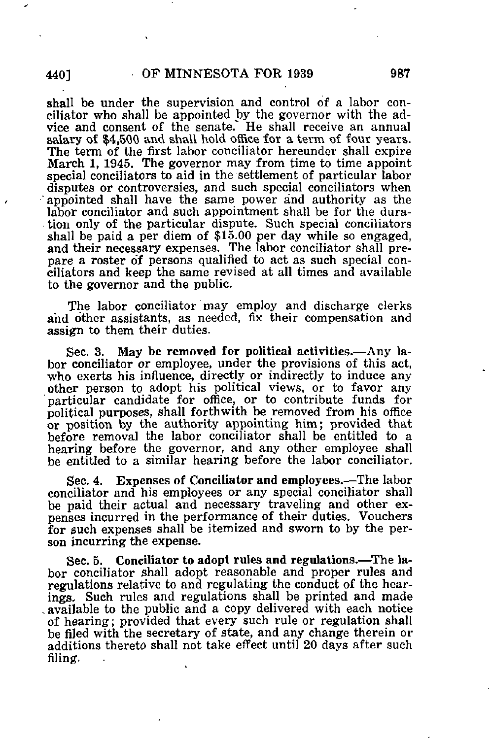shall be under the supervision and control of a labor conciliator who shall be appointed by the governor with the advice and consent of the senate." He shall receive an annual salary of \$4,500 and shall hold office for a term of four years. The term of the first labor conciliator hereunder shall expire March 1, 1945. The governor may from time to time appoint special conciliators to aid in the settlement of particular labor disputes or controversies, and such special conciliators when 'appointed shall have the same power and authority as the labor conciliator and such appointment shall be for the duration only of the particular dispute. Such special conciliators shall be paid a per diem of \$15.00 per day while so engaged, and their necessary expenses. The labor conciliator shall prepare a roster of persons qualified to act as such special conciliators and keep the same revised at all times and available to the governor and the public.

The labor conciliator may employ and discharge clerks and other assistants, as needed, fix their compensation and assign to them their duties.

Sec. 3. May be removed for political activities.—Any labor conciliator or employee, under the provisions of this act, who exerts his influence, directly or indirectly to induce any other person to adopt his political views, or to favor any particular candidate for office, or to contribute funds for political purposes, shall forthwith be removed from his office or position by the authority appointing him; provided that before removal the labor conciliator shall be entitled to a hearing before the governor, and any other employee shall be entitled to a similar hearing before the labor conciliator.

Sec. 4. Expenses of Conciliator and employees.—The labor conciliator and his employees or any special conciliator shall be paid their actual and necessary traveling and other expenses incurred in the performance of their duties. Vouchers for such expenses shall be itemized and sworn to by the person incurring the expense.

Sec. 5. Conciliator to adopt rules and regulations.—The labor conciliator shall adopt reasonable and proper rules and regulations relative to and regulating the conduct of the hearings. Such rules and regulations shall be printed and made -available to the public and a copy delivered with each notice of hearing; provided that every such rule or regulation shall be filed with the secretary of state, and any change therein or additions thereto shall not take effect until 20 days after such filing.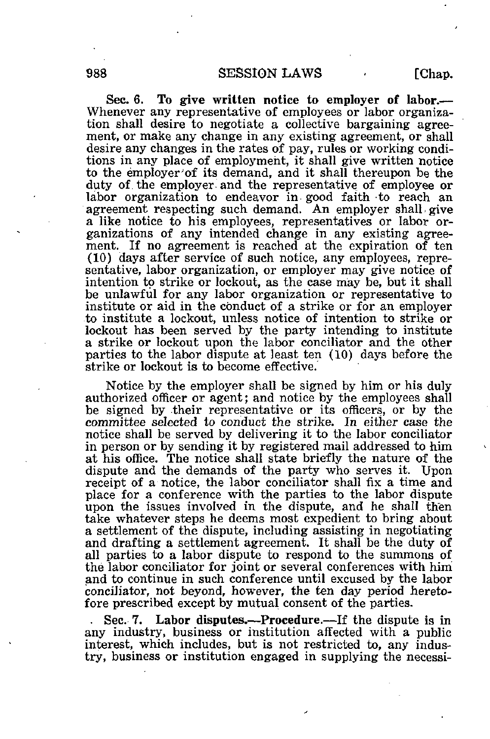Sec. 6. To give written notice to employer of labor.— Whenever any representative of employees or labor organization shall desire to negotiate a collective bargaining agreement, or make any change in any existing agreement, or shall desire any changes in the rates of pay, rules or working conditions in any place of employment, it shall give written notice to the employer'of its demand, and it shall thereupon be the duty of the employer and the representative of employee or labor organization to endeavor in good faith to reach an agreement respecting such demand. An employer shall give a like notice to his employees, representatives or labor organizations of any intended change in any existing agreement. If no agreement is reached at the expiration of ten (10) days after service of such notice, any employees, representative, labor organization, or employer may give notice of intention to strike or lockout, as the case may be, but it shall be unlawful for any labor organization or representative to institute or aid in the conduct of a strike or for an employer to institute a lockout, unless notice of intention to strike or lockout has been served by the party intending to institute a strike or lockout upon the labor conciliator and the other parties to the labor dispute at least ten (10) days before the

Notice by the employer shall be signed by him or his duly authorized officer or agent; and notice by the employees shall be signed by their representative or its officers, or by the committee selected to conduct the strike. In either case the notice shall be served by delivering it to the labor conciliator in person or by sending it by registered mail addressed to him at his office. The notice shall state briefly the nature of the dispute and the demands of the party who serves it. Upon receipt of a notice, the labor conciliator shall fix a time and place for a conference with the parties to the labor dispute upon the issues involved in the dispute, and he shall then take whatever steps he deems most expedient to bring about a settlement of the dispute, including assisting in negotiating and drafting a settlement agreement. It shall be the duty of all parties to a labor dispute to respond to the summons of the labor conciliator for joint or several conferences with him and to continue in such conference until excused by the labor conciliator, not beyond, however, the ten day period heretofore prescribed except by mutual consent of the parties.

strike or lockout is to become effective.

. Sec. 7. Labor disputes.—Procedure.—If the dispute is in any industry, business or institution affected with a public interest, which includes, but is not restricted to, any industry, business or institution engaged in supplying the necessi-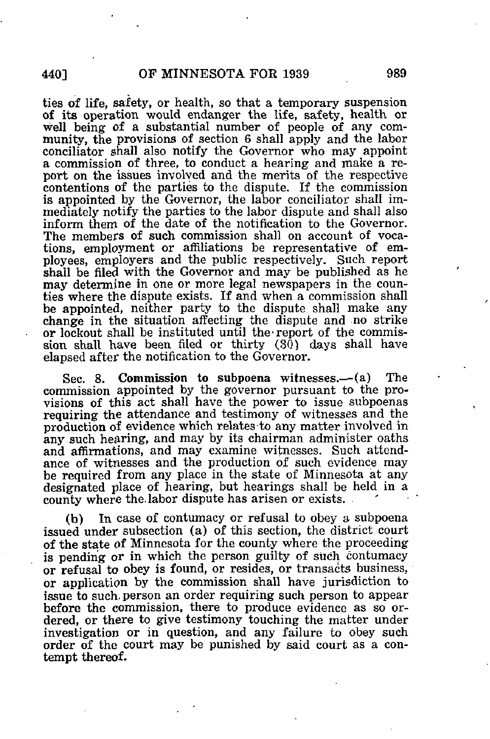ties of life, safety, or health, so that a temporary suspension of its operation would endanger the life, safety, health or well being of a substantial number of people of any community, the provisions of section 6 shall apply and the labor conciliator shall also notify the Governor who may appoint a commission of three, to conduct a hearing and make a report on the issues involved and the merits of the respective contentions of the parties to the dispute. If the commission is appointed by the Governor, the labor conciliator shall immediately notify the parties to the labor dispute and shall also inform them of the date of the notification to the Governor. The members of such commission shall on account of vocations, employment or affiliations be representative of employees, employers and the public respectively. Such report shall be filed with the Governor and may be published as he may determine in one or more legal newspapers in the counties where the dispute exists. If and when a commission shall be appointed, neither party to the dispute shall make any change in the situation affecting the dispute and no strike or lockout shall be instituted until the-report of the commission shall have been filed or thirty  $(30)$  days shall have elapsed after the notification to the Governor.

Sec. 8. Commission to subpoena witnesses.—(a) The commission appointed by the governor pursuant to the provisions of this act shall have the power to issue subpoenas requiring the attendance and testimony of witnesses and the production of evidence which relates-to any matter involved in any such hearing, and may by its chairman administer oaths and affirmations, and may examine witnesses. Such attendance of witnesses and the production of such evidence may be required from any place in the state of Minnesota at any designated place of hearing, but hearings shall be held in a county where the. labor dispute has arisen or exists.

(b) In case of contumacy or refusal to obey a subpoena issued under subsection (a) of this section, the district court of the state of Minnesota for the county where the proceeding is pending or in which the person guilty of such contumacy or refusal to obey is found, or resides, or transacts business, or application by the commission shall have jurisdiction to issue to such, person an order requiring such person to appear before the commission, there to produce evidence as so ordered, or there to give testimony touching the matter under investigation or in question, and any failure to obey such order of the court may be punished by said court as a contempt thereof.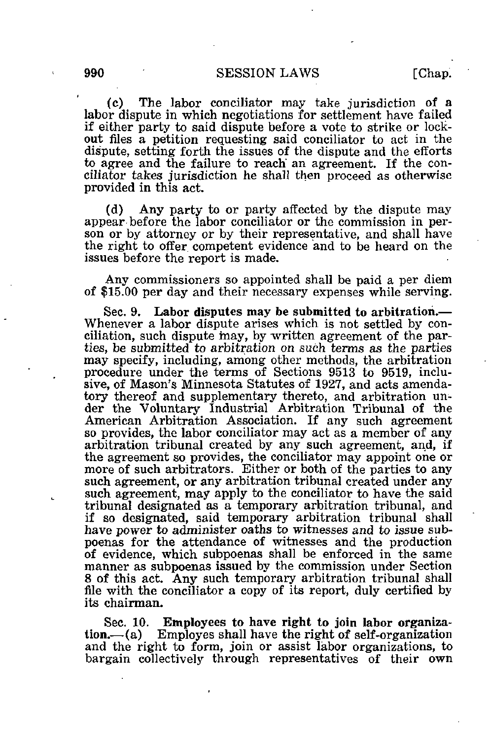(c) The labor conciliator may take jurisdiction of a labor dispute in which negotiations for settlement have failed if either party to said dispute before a vote to strike or lockout files a petition requesting said conciliator to act in the dispute, setting forth the issues of the dispute and the efforts to agree and the failure to reach' an agreement. If the conciliator takes jurisdiction he shall then proceed as otherwise provided in this act.

(d) Any party to or party affected by the dispute may appear before the labor conciliator or the commission in person or by attorney or by their representative, and shall have the right to offer competent evidence and to be heard on the issues before the report is made.

Any commissioners so appointed shall be paid a per diem of \$15.00 per day and their necessary expenses while serving.

Sec. 9. Labor disputes may be submitted to arbitration.— Whenever a labor dispute arises which is not settled by conciliation, such dispute may, by written agreement of the parties, be submitted to arbitration on such terms as the parties may specify, including, among other methods, the arbitration procedure under the terms of Sections 9513 to 9519, inclusive, of Mason's Minnesota Statutes of 1927, and acts amendatory thereof and supplementary thereto, and arbitration under the Voluntary Industrial Arbitration Tribunal of the American Arbitration Association. If any such agreement so provides, the labor conciliator may act as a member of any arbitration tribunal created by any such agreement, and, if the agreement so provides, the conciliator may appoint one or more of such arbitrators. Either or both of the parties to any such agreement, or any arbitration tribunal created under any such agreement, may apply to the conciliator to have the said tribunal designated as a temporary arbitration tribunal, and if so designated, said temporary arbitration tribunal shall have power to administer oaths to witnesses and to issue subpoenas for the attendance of witnesses and the production of evidence, which subpoenas shall be enforced in the same manner as subpoenas issued by the commission under Section 8 of this act. Any such temporary arbitration tribunal shall file with the conciliator a copy of its report, duly certified by its chairman.

Sec. 10. Employees to have right to join labor organization.—(a) Employes shall have the right of self-organization and the right to form, join or assist labor organizations, to bargain collectively through representatives of their own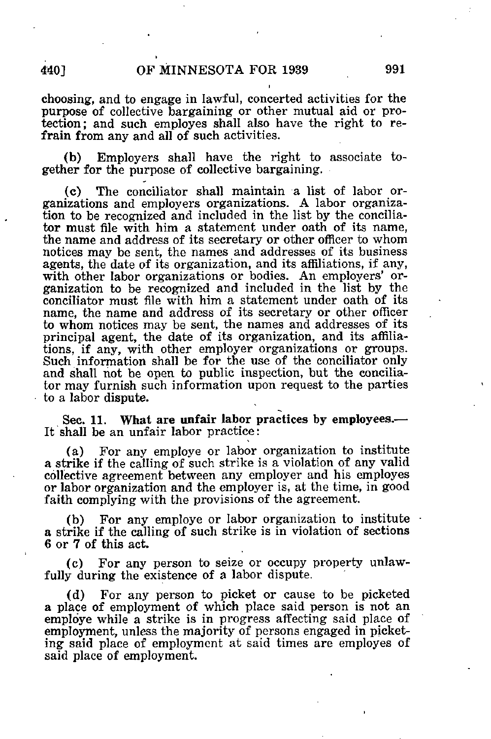i

choosing, and to engage in lawful, concerted activities for the purpose of collective bargaining or other mutual aid or protection; and such employes shall also have the right to refrain from any and all of such activities.

(b) Employers shall have the right to associate together for the purpose of collective bargaining.

(c) The conciliator shall maintain a list of labor organizations and employers organizations. A labor organization to be recognized and included in the list by the conciliator must file with him a statement under oath of its name, the name and address of its secretary or other officer to whom notices may be sent, the names and addresses of its business agents, the date of its organization, and its affiliations, if any, with other labor organizations or bodies. An employers' organization to be recognized and included in the list by the conciliator must file with him a statement under oath of its name, the name and address of its secretary or other officer to whom notices may be sent, the names and addresses of its principal agent, the date of its organization, and its affiliations, if any, with other employer organizations or groups. Such information shall be for the use of the conciliator only and shall not be open to public inspection, but the conciliator may furnish such information upon request to the parties to a labor dispute.

Sec. 11. What are unfair labor practices by employees.— It shall be an unfair labor practice:

(a) For any employe or labor organization to institute a strike if the calling of such strike is a violation of any valid collective agreement between any employer and his employes or labor organization and the employer is, at the time, in good faith complying with the provisions of the agreement.

(b) For any employe or labor organization to institute a strike if the calling of such strike is in violation of sections 6 or 7 of this act.

(c) For any person to seize or occupy property unlawfully during the existence of a labor dispute.

(d) For any person to picket or cause to be picketed a place of employment of which place said person is not an employe while a strike is in progress affecting said place of employment, unless the majority of persons engaged in picketing said place of employment at said times are employes of said place of employment.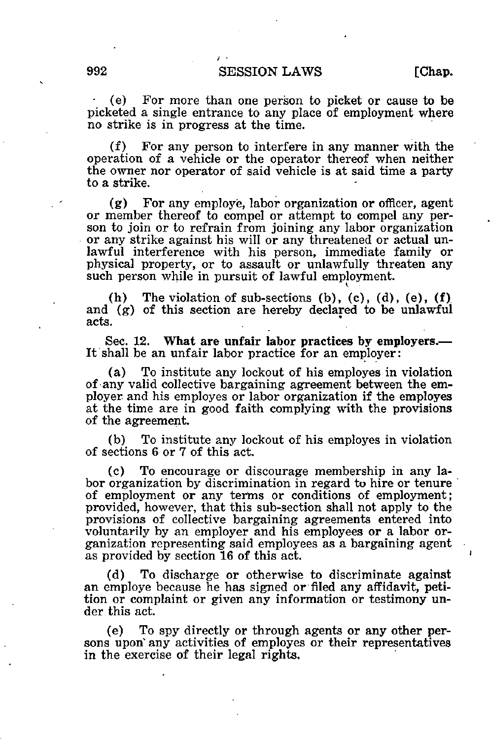## 992 SESSION LAWS [Chap.

• (e) For more than one person to picket or cause to be picketed a single entrance to any place of employment where no strike is in progress at the time.

(f) For any person to interfere in any manner with the operation of a vehicle or the operator thereof when neither the owner nor operator of said vehicle is at said time a party to a strike.

(g) For any employe, labor organization or officer, agent or member thereof to compel or attempt to compel any person to join or to refrain from joining any labor organization or any strike against his will or any threatened or actual unlawful interference with his person, immediate family or physical property, or to assault or unlawfully threaten any such person while in pursuit of lawful employment.

(h) The violation of sub-sections (b), (c), (d), (e),  $(f)$ and (g) of this section are hereby declared to be unlawful acts.

Sec. 12. What are unfair labor practices by employers.— It shall be an unfair labor practice for an employer:

(a) To institute any lockout of his employes in violation of any valid collective bargaining agreement between the employer and his employes or labor organization if the employes at the time are in good faith complying with the provisions of the agreement.

(b) To institute any lockout of his employes in violation of sections 6 or 7 of this act.

(c) To encourage or discourage membership in any labor organization by discrimination in regard to hire or tenure of employment or any terms or conditions of employment; provided, however, that this sub-section shall not apply to the provisions of collective bargaining agreements entered into voluntarily by an employer and his employees or a labor organization representing said employees as a bargaining agent as provided by section 16 of this act.

(d) To discharge or otherwise to discriminate against an employe because he has signed or filed any affidavit, petition or complaint or given any information or testimony under this act.

(e) To spy directly or through agents or any other persons upon any activities of employes or their representatives in the exercise of their legal rights.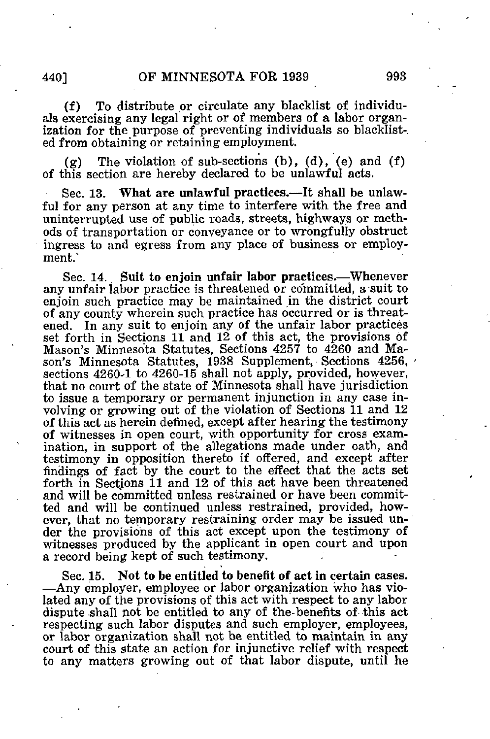(f) To distribute or circulate any blacklist of individuals exercising any legal right or of members of a labor organization for the purpose of preventing individuals so blacklisted from obtaining or retaining employment.

 $(g)$  The violation of sub-sections (b), (d), (e) and (f) of this section are hereby declared to be unlawful acts.

Sec. 13. What are unlawful practices.—It shall be unlawful for any person at any time to interfere with the free and uninterrupted use of public roads, streets, highways or methods of transportation or conveyance or to wrongfully obstruct ingress to and egress from any place of business or employment.

Sec. 14. Suit to enjoin unfair labor practices.—Whenever any unfair labor practice is threatened or committed, a suit to enjoin such practice may be maintained in the district court of any county wherein such practice has occurred or is threatened. In any suit to enjoin any of the unfair labor practices set forth in Sections 11 and 12 of this act, the provisions of Mason's Minnesota Statutes, Sections 4257 to 4260 and Mason's Minnesota Statutes, 1938 Supplement, Sections 4256. sections 4260-1 to 4260-15 shall not apply, provided, however, that no court of the state of Minnesota shall have jurisdiction to issue a temporary or permanent injunction in any case involving or growing out of the violation of Sections 11 and 12 of this act as herein defined, except after hearing the testimony of witnesses in open court, with opportunity for cross examination, in support of the allegations made under oath, and testimony in opposition thereto if offered, and except after findings of fact by the court to the effect that the acts set forth in Sections 11 and 12 of this act have been threatened and will be committed unless restrained or have been committed and will be continued unless restrained, provided, however, that no temporary restraining order may be issued under the provisions of this act except upon the testimony of witnesses produced by the applicant in open court and upon a record being kept of such testimony.

Sec. 15. Not to be entitled to benefit of act in certain cases. —Any employer, employee or labor organization who has violated any of the provisions of this act with respect to any labor dispute shall not be entitled to any of the-benefits of this act respecting such labor disputes and such employer, employees, or labor organization shall not be entitled to maintain in any court of this state an action for injunctive relief with respect to any matters growing out of that labor dispute, until he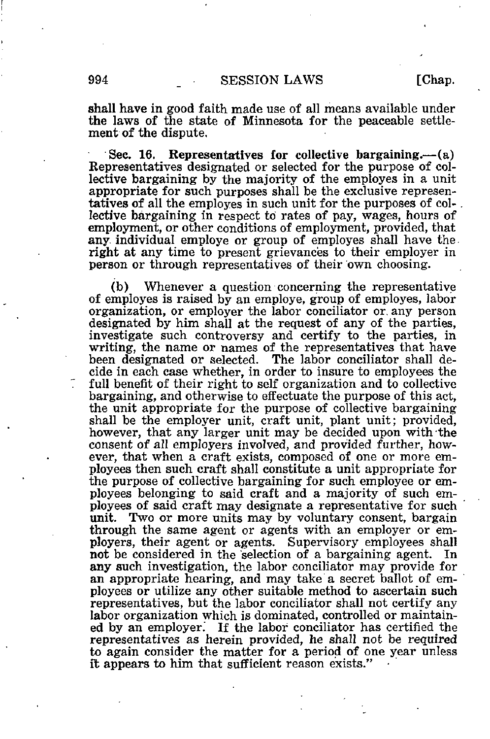## 994 **SESSION LAWS** [Chap.

shall have in good faith made use of all means available under the laws of the state of Minnesota for the peaceable settlement of the dispute.

Sec. 16. Representatives for collective bargaining.—(a) Representatives designated or selected for the purpose of collective bargaining by the majority of the employes in a unit appropriate for such purposes shall be the exclusive representatives of all the employes in such unit for the purposes of collective bargaining in respect to rates of pay, wages, hours of employment, or other conditions of employment, provided, that any. individual employe or group of employes shall have the right at any time to present grievances to their employer in person or through representatives of their own choosing.

(b) Whenever a question concerning the representative of employes is raised by an employe, group of employes, labor organization, or employer the labor conciliator or, any person designated by him shall at the request of any of the parties, investigate such controversy and certify to the parties, in writing, the name or names of the representatives that have been designated or selected. The labor conciliator shall de-The labor conciliator shall decide in each case whether, in order to insure to employees the full benefit of their right to self organization and to collective bargaining, and otherwise to effectuate the purpose of this act, the unit appropriate for the purpose of collective bargaining shall be the employer unit, craft unit, plant unit; provided, however, that any larger unit may be decided upon with the consent of all employers involved, and provided further, however, that when a craft exists, composed of one or more employees then such craft shall constitute a unit appropriate for the purpose of collective bargaining for such employee or employees belonging to said craft and a majority of such employees of said craft may designate a representative for such unit. Two or more units may by voluntary consent, bargain through the same agent or agents with an employer or employers, their agent or agents. Supervisory employees shall not be considered in the selection of a bargaining agent. any such investigation, the labor conciliator may provide for an appropriate hearing, and may take a secret ballot of employees or utilize any other suitable method to ascertain such representatives, but the labor conciliator shall not certify any labor organization which is dominated, controlled or maintained by an employer. If the labor conciliator has certified the representatives as herein provided, he shall not be required to again consider the matter for a period of one year unless it appears to him that sufficient reason exists."